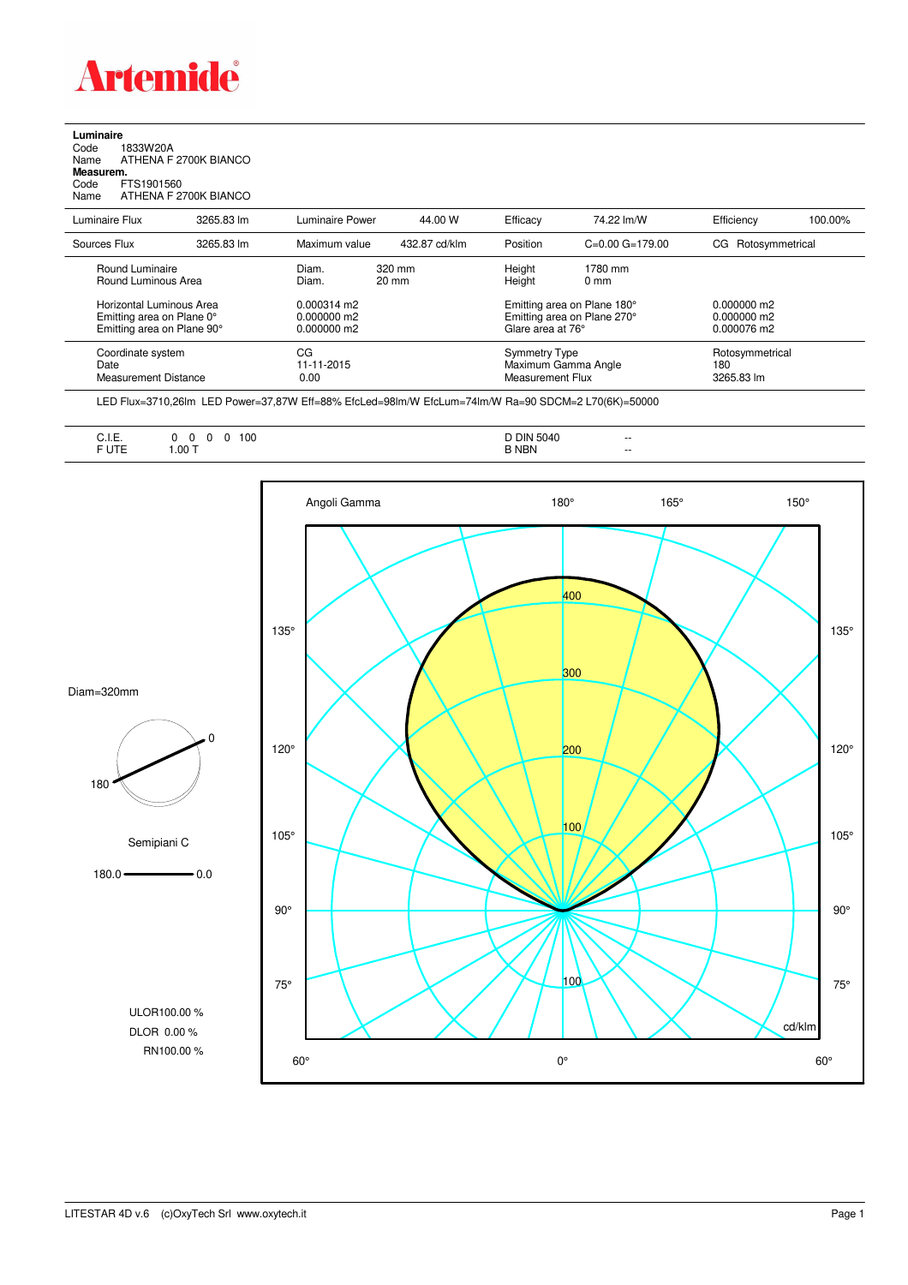

## **Luminaire**<br>Code 1<br>Name *P*

Code 1833W20A Name ATHENA F 2700K BIANCO **Measurem.**

Code FTS1901560 Name ATHENA F 2700K BIANCO

| Luminaire Flux                                                                      | 3265.83 lm | Luminaire Power                                        | 44.00 W                   | Efficacy                                                                        | 74 22 lm/W                                                      | Efficiency                                    | 100.00%                              |  |
|-------------------------------------------------------------------------------------|------------|--------------------------------------------------------|---------------------------|---------------------------------------------------------------------------------|-----------------------------------------------------------------|-----------------------------------------------|--------------------------------------|--|
| Sources Flux                                                                        | 3265.83 lm | Maximum value                                          | 432.87 cd/klm             | Position                                                                        | $C=0.00$ $G=179.00$                                             | Rotosymmetrical<br>CG.                        |                                      |  |
| Round Luminaire<br>Round Luminous Area                                              |            | Diam.<br>Diam.                                         | 320 mm<br>$20 \text{ mm}$ | Height<br>Height                                                                | 1780 mm<br>$0 \text{ mm}$                                       |                                               |                                      |  |
| Horizontal Luminous Area<br>Emitting area on Plane 0°<br>Emitting area on Plane 90° |            | $0.000314 \text{ m}$<br>$0.000000$ m2<br>$0.000000$ m2 |                           | Emitting area on Plane 180°<br>Emitting area on Plane 270°<br>Glare area at 76° |                                                                 | $0.000000$ m2<br>$0.000000$ m2<br>0.000076 m2 |                                      |  |
| Coordinate system<br>Date<br>Measurement Distance                                   |            | CG<br>11-11-2015<br>0.00                               |                           |                                                                                 | <b>Symmetry Type</b><br>Maximum Gamma Angle<br>Measurement Flux |                                               | Rotosymmetrical<br>180<br>3265.83 lm |  |

LED Flux=3710,26lm LED Power=37,87W Eff=88% EfcLed=98lm/W EfcLum=74lm/W Ra=90 SDCM=2 L70(6K)=50000